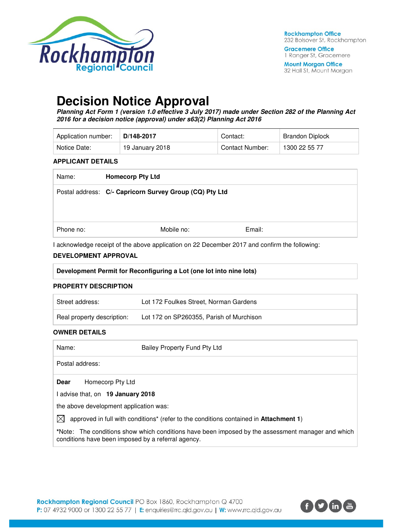

**Gracemere Office** 1 Ranger St, Gracemere

**Mount Morgan Office** 32 Hall St, Mount Morgan

# **Decision Notice Approval**

**Planning Act Form 1 (version 1.0 effective 3 July 2017) made under Section 282 of the Planning Act 2016 for a decision notice (approval) under s63(2) Planning Act 2016** 

| Application number: | D/148-2017      | Contact:        | Brandon Diplock |
|---------------------|-----------------|-----------------|-----------------|
| Notice Date:        | 19 January 2018 | Contact Number: | 1300 22 55 77   |

#### **APPLICANT DETAILS**

| Name:     | <b>Homecorp Pty Ltd</b>                                 |        |
|-----------|---------------------------------------------------------|--------|
|           | Postal address: C/- Capricorn Survey Group (CQ) Pty Ltd |        |
| Phone no: | Mobile no:                                              | Email: |

I acknowledge receipt of the above application on 22 December 2017 and confirm the following:

#### **DEVELOPMENT APPROVAL**

| Development Permit for Reconfiguring a Lot (one lot into nine lots) |                                          |  |
|---------------------------------------------------------------------|------------------------------------------|--|
| <b>PROPERTY DESCRIPTION</b>                                         |                                          |  |
| Street address:                                                     | Lot 172 Foulkes Street, Norman Gardens   |  |
| Real property description:                                          | Lot 172 on SP260355, Parish of Murchison |  |

#### **OWNER DETAILS**

| Name:                                              | Bailey Property Fund Pty Ltd                                                                      |
|----------------------------------------------------|---------------------------------------------------------------------------------------------------|
| Postal address:                                    |                                                                                                   |
| Homecorp Pty Ltd<br><b>Dear</b>                    |                                                                                                   |
| I advise that, on 19 January 2018                  |                                                                                                   |
| the above development application was:             |                                                                                                   |
| IXI                                                | approved in full with conditions* (refer to the conditions contained in Attachment 1)             |
| conditions have been imposed by a referral agency. | *Note: The conditions show which conditions have been imposed by the assessment manager and which |

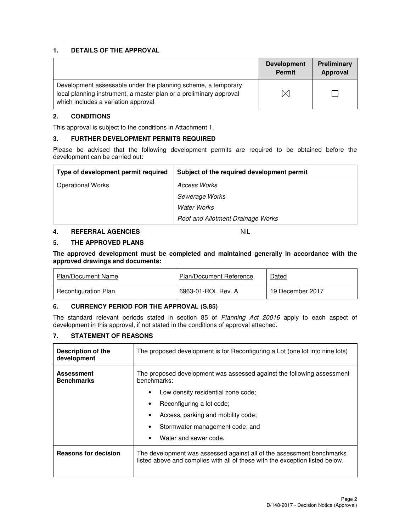#### **1. DETAILS OF THE APPROVAL**

|                                                                                                                                                                            | <b>Development</b><br><b>Permit</b> | Preliminary<br>Approval |
|----------------------------------------------------------------------------------------------------------------------------------------------------------------------------|-------------------------------------|-------------------------|
| Development assessable under the planning scheme, a temporary<br>local planning instrument, a master plan or a preliminary approval<br>which includes a variation approval |                                     |                         |

#### **2. CONDITIONS**

This approval is subject to the conditions in Attachment 1.

#### **3. FURTHER DEVELOPMENT PERMITS REQUIRED**

Please be advised that the following development permits are required to be obtained before the development can be carried out:

| Type of development permit required | Subject of the required development permit |
|-------------------------------------|--------------------------------------------|
| <b>Operational Works</b>            | Access Works                               |
|                                     | Sewerage Works                             |
|                                     | Water Works                                |
|                                     | Roof and Allotment Drainage Works          |

### **4. REFERRAL AGENCIES** NIL

**5. THE APPROVED PLANS** 

**The approved development must be completed and maintained generally in accordance with the approved drawings and documents:** 

| Plan/Document Name   | <b>Plan/Document Reference</b> | Dated            |
|----------------------|--------------------------------|------------------|
| Reconfiguration Plan | 6963-01-ROL Rev. A             | 19 December 2017 |

### **6. CURRENCY PERIOD FOR THE APPROVAL (S.85)**

The standard relevant periods stated in section 85 of Planning Act 20016 apply to each aspect of development in this approval, if not stated in the conditions of approval attached.

#### **7. STATEMENT OF REASONS**

| Description of the<br>development      | The proposed development is for Reconfiguring a Lot (one lot into nine lots)                                                                          |  |  |
|----------------------------------------|-------------------------------------------------------------------------------------------------------------------------------------------------------|--|--|
| <b>Assessment</b><br><b>Benchmarks</b> | The proposed development was assessed against the following assessment<br>benchmarks:                                                                 |  |  |
|                                        | Low density residential zone code;                                                                                                                    |  |  |
|                                        | Reconfiguring a lot code;<br>٠                                                                                                                        |  |  |
|                                        | Access, parking and mobility code;                                                                                                                    |  |  |
|                                        | Stormwater management code; and                                                                                                                       |  |  |
|                                        | Water and sewer code.<br>٠                                                                                                                            |  |  |
| <b>Reasons for decision</b>            | The development was assessed against all of the assessment benchmarks<br>listed above and complies with all of these with the exception listed below. |  |  |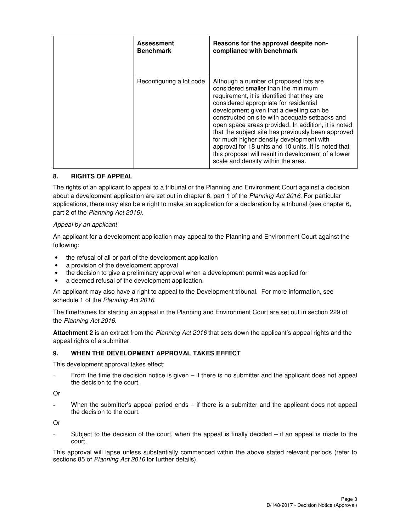| <b>Assessment</b><br><b>Benchmark</b> | Reasons for the approval despite non-<br>compliance with benchmark                                                                                                                                                                                                                                                                                                                                                                                                                                                                                                                 |
|---------------------------------------|------------------------------------------------------------------------------------------------------------------------------------------------------------------------------------------------------------------------------------------------------------------------------------------------------------------------------------------------------------------------------------------------------------------------------------------------------------------------------------------------------------------------------------------------------------------------------------|
| Reconfiguring a lot code              | Although a number of proposed lots are<br>considered smaller than the minimum<br>requirement, it is identified that they are<br>considered appropriate for residential<br>development given that a dwelling can be<br>constructed on site with adequate setbacks and<br>open space areas provided. In addition, it is noted<br>that the subject site has previously been approved<br>for much higher density development with<br>approval for 18 units and 10 units. It is noted that<br>this proposal will result in development of a lower<br>scale and density within the area. |

#### **8. RIGHTS OF APPEAL**

The rights of an applicant to appeal to a tribunal or the Planning and Environment Court against a decision about a development application are set out in chapter 6, part 1 of the Planning Act 2016. For particular applications, there may also be a right to make an application for a declaration by a tribunal (see chapter 6, part 2 of the Planning Act 2016).

#### Appeal by an applicant

An applicant for a development application may appeal to the Planning and Environment Court against the following:

- the refusal of all or part of the development application
- a provision of the development approval
- the decision to give a preliminary approval when a development permit was applied for
- a deemed refusal of the development application.

An applicant may also have a right to appeal to the Development tribunal. For more information, see schedule 1 of the Planning Act 2016.

The timeframes for starting an appeal in the Planning and Environment Court are set out in section 229 of the Planning Act 2016.

**Attachment 2** is an extract from the Planning Act 2016 that sets down the applicant's appeal rights and the appeal rights of a submitter.

#### **9. WHEN THE DEVELOPMENT APPROVAL TAKES EFFECT**

This development approval takes effect:

From the time the decision notice is given  $-$  if there is no submitter and the applicant does not appeal the decision to the court.

Or

When the submitter's appeal period ends  $-$  if there is a submitter and the applicant does not appeal the decision to the court.

Or

Subject to the decision of the court, when the appeal is finally decided  $-$  if an appeal is made to the court.

This approval will lapse unless substantially commenced within the above stated relevant periods (refer to sections 85 of Planning Act 2016 for further details).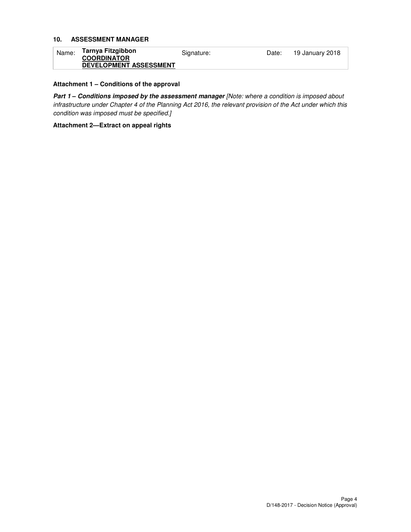#### **10. ASSESSMENT MANAGER**

| Name: | Tarnya Fitzgibbon             | Signature: | Date: | 19 January 2018 |
|-------|-------------------------------|------------|-------|-----------------|
|       | <b>COORDINATOR</b>            |            |       |                 |
|       | <b>DEVELOPMENT ASSESSMENT</b> |            |       |                 |

#### **Attachment 1 – Conditions of the approval**

Part 1 - Conditions imposed by the assessment manager [Note: where a condition is imposed about infrastructure under Chapter 4 of the Planning Act 2016, the relevant provision of the Act under which this condition was imposed must be specified.]

**Attachment 2—Extract on appeal rights**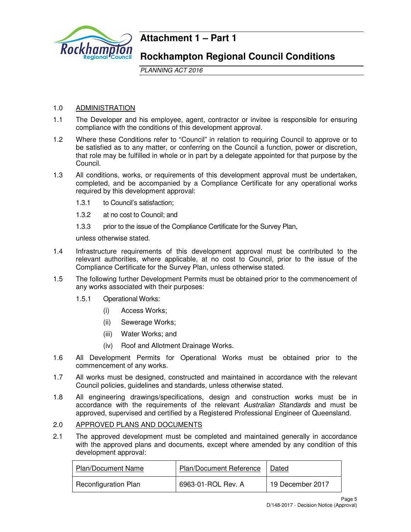

# **Attachment 1 – Part 1**

# **Rockhampton Regional Council Conditions**

PLANNING ACT 2016

# 1.0 ADMINISTRATION

- 1.1 The Developer and his employee, agent, contractor or invitee is responsible for ensuring compliance with the conditions of this development approval.
- 1.2 Where these Conditions refer to "Council" in relation to requiring Council to approve or to be satisfied as to any matter, or conferring on the Council a function, power or discretion, that role may be fulfilled in whole or in part by a delegate appointed for that purpose by the Council.
- 1.3 All conditions, works, or requirements of this development approval must be undertaken, completed, and be accompanied by a Compliance Certificate for any operational works required by this development approval:
	- 1.3.1 to Council's satisfaction;
	- 1.3.2 at no cost to Council; and
	- 1.3.3 prior to the issue of the Compliance Certificate for the Survey Plan,

unless otherwise stated.

- 1.4 Infrastructure requirements of this development approval must be contributed to the relevant authorities, where applicable, at no cost to Council, prior to the issue of the Compliance Certificate for the Survey Plan, unless otherwise stated.
- 1.5 The following further Development Permits must be obtained prior to the commencement of any works associated with their purposes:
	- 1.5.1 Operational Works:
		- (i) Access Works;
		- (ii) Sewerage Works;
		- (iii) Water Works; and
		- (iv) Roof and Allotment Drainage Works.
- 1.6 All Development Permits for Operational Works must be obtained prior to the commencement of any works.
- 1.7 All works must be designed, constructed and maintained in accordance with the relevant Council policies, guidelines and standards, unless otherwise stated.
- 1.8 All engineering drawings/specifications, design and construction works must be in accordance with the requirements of the relevant Australian Standards and must be approved, supervised and certified by a Registered Professional Engineer of Queensland.

# 2.0 APPROVED PLANS AND DOCUMENTS

2.1 The approved development must be completed and maintained generally in accordance with the approved plans and documents, except where amended by any condition of this development approval:

| <b>Plan/Document Name</b>   | <b>Plan/Document Reference</b> | Dated            |
|-----------------------------|--------------------------------|------------------|
| <b>Reconfiguration Plan</b> | 6963-01-ROL Rev. A             | 19 December 2017 |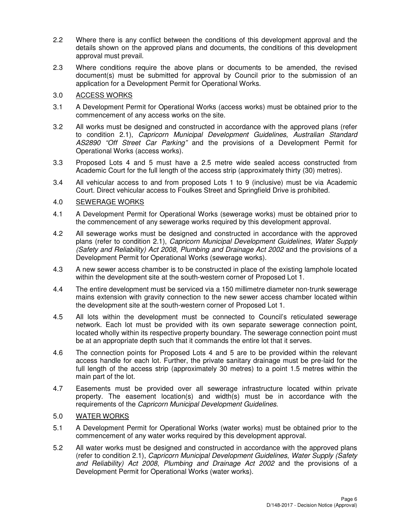- 2.2 Where there is any conflict between the conditions of this development approval and the details shown on the approved plans and documents, the conditions of this development approval must prevail.
- 2.3 Where conditions require the above plans or documents to be amended, the revised document(s) must be submitted for approval by Council prior to the submission of an application for a Development Permit for Operational Works.

### 3.0 ACCESS WORKS

- 3.1 A Development Permit for Operational Works (access works) must be obtained prior to the commencement of any access works on the site.
- 3.2 All works must be designed and constructed in accordance with the approved plans (refer to condition 2.1), Capricorn Municipal Development Guidelines, Australian Standard AS2890 "Off Street Car Parking" and the provisions of a Development Permit for Operational Works (access works).
- 3.3 Proposed Lots 4 and 5 must have a 2.5 metre wide sealed access constructed from Academic Court for the full length of the access strip (approximately thirty (30) metres).
- 3.4 All vehicular access to and from proposed Lots 1 to 9 (inclusive) must be via Academic Court. Direct vehicular access to Foulkes Street and Springfield Drive is prohibited.

#### 4.0 SEWERAGE WORKS

- 4.1 A Development Permit for Operational Works (sewerage works) must be obtained prior to the commencement of any sewerage works required by this development approval.
- 4.2 All sewerage works must be designed and constructed in accordance with the approved plans (refer to condition 2.1), Capricorn Municipal Development Guidelines, Water Supply (Safety and Reliability) Act 2008, Plumbing and Drainage Act 2002 and the provisions of a Development Permit for Operational Works (sewerage works).
- 4.3 A new sewer access chamber is to be constructed in place of the existing lamphole located within the development site at the south-western corner of Proposed Lot 1.
- 4.4 The entire development must be serviced via a 150 millimetre diameter non-trunk sewerage mains extension with gravity connection to the new sewer access chamber located within the development site at the south-western corner of Proposed Lot 1.
- 4.5 All lots within the development must be connected to Council's reticulated sewerage network. Each lot must be provided with its own separate sewerage connection point, located wholly within its respective property boundary. The sewerage connection point must be at an appropriate depth such that it commands the entire lot that it serves.
- 4.6 The connection points for Proposed Lots 4 and 5 are to be provided within the relevant access handle for each lot. Further, the private sanitary drainage must be pre-laid for the full length of the access strip (approximately 30 metres) to a point 1.5 metres within the main part of the lot.
- 4.7 Easements must be provided over all sewerage infrastructure located within private property. The easement location(s) and width(s) must be in accordance with the requirements of the Capricorn Municipal Development Guidelines.

### 5.0 WATER WORKS

- 5.1 A Development Permit for Operational Works (water works) must be obtained prior to the commencement of any water works required by this development approval.
- 5.2 All water works must be designed and constructed in accordance with the approved plans (refer to condition 2.1), Capricorn Municipal Development Guidelines, Water Supply (Safety and Reliability) Act 2008, Plumbing and Drainage Act 2002 and the provisions of a Development Permit for Operational Works (water works).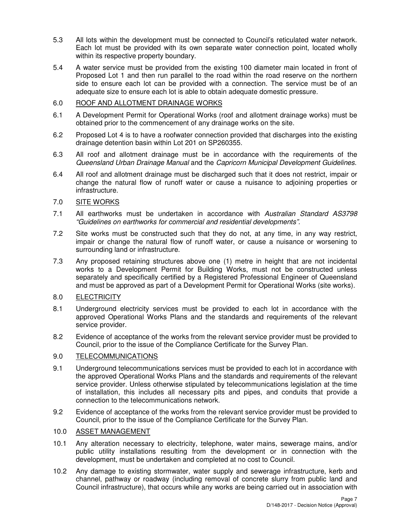- 5.3 All lots within the development must be connected to Council's reticulated water network. Each lot must be provided with its own separate water connection point, located wholly within its respective property boundary.
- 5.4 A water service must be provided from the existing 100 diameter main located in front of Proposed Lot 1 and then run parallel to the road within the road reserve on the northern side to ensure each lot can be provided with a connection. The service must be of an adequate size to ensure each lot is able to obtain adequate domestic pressure.

## 6.0 ROOF AND ALLOTMENT DRAINAGE WORKS

- 6.1 A Development Permit for Operational Works (roof and allotment drainage works) must be obtained prior to the commencement of any drainage works on the site.
- 6.2 Proposed Lot 4 is to have a roofwater connection provided that discharges into the existing drainage detention basin within Lot 201 on SP260355.
- 6.3 All roof and allotment drainage must be in accordance with the requirements of the Queensland Urban Drainage Manual and the Capricorn Municipal Development Guidelines.
- 6.4 All roof and allotment drainage must be discharged such that it does not restrict, impair or change the natural flow of runoff water or cause a nuisance to adjoining properties or infrastructure.

### 7.0 SITE WORKS

- 7.1 All earthworks must be undertaken in accordance with Australian Standard AS3798 "Guidelines on earthworks for commercial and residential developments".
- 7.2 Site works must be constructed such that they do not, at any time, in any way restrict, impair or change the natural flow of runoff water, or cause a nuisance or worsening to surrounding land or infrastructure.
- 7.3 Any proposed retaining structures above one (1) metre in height that are not incidental works to a Development Permit for Building Works, must not be constructed unless separately and specifically certified by a Registered Professional Engineer of Queensland and must be approved as part of a Development Permit for Operational Works (site works).

### 8.0 ELECTRICITY

- 8.1 Underground electricity services must be provided to each lot in accordance with the approved Operational Works Plans and the standards and requirements of the relevant service provider.
- 8.2 Evidence of acceptance of the works from the relevant service provider must be provided to Council, prior to the issue of the Compliance Certificate for the Survey Plan.

#### 9.0 TELECOMMUNICATIONS

- 9.1 Underground telecommunications services must be provided to each lot in accordance with the approved Operational Works Plans and the standards and requirements of the relevant service provider. Unless otherwise stipulated by telecommunications legislation at the time of installation, this includes all necessary pits and pipes, and conduits that provide a connection to the telecommunications network.
- 9.2 Evidence of acceptance of the works from the relevant service provider must be provided to Council, prior to the issue of the Compliance Certificate for the Survey Plan.

## 10.0 ASSET MANAGEMENT

- 10.1 Any alteration necessary to electricity, telephone, water mains, sewerage mains, and/or public utility installations resulting from the development or in connection with the development, must be undertaken and completed at no cost to Council.
- 10.2 Any damage to existing stormwater, water supply and sewerage infrastructure, kerb and channel, pathway or roadway (including removal of concrete slurry from public land and Council infrastructure), that occurs while any works are being carried out in association with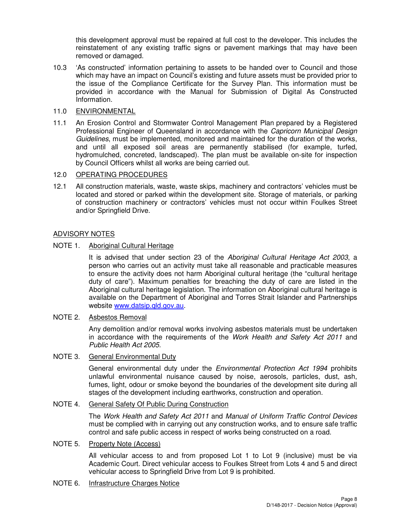this development approval must be repaired at full cost to the developer. This includes the reinstatement of any existing traffic signs or pavement markings that may have been removed or damaged.

10.3 'As constructed' information pertaining to assets to be handed over to Council and those which may have an impact on Council's existing and future assets must be provided prior to the issue of the Compliance Certificate for the Survey Plan. This information must be provided in accordance with the Manual for Submission of Digital As Constructed Information.

#### 11.0 ENVIRONMENTAL

11.1 An Erosion Control and Stormwater Control Management Plan prepared by a Registered Professional Engineer of Queensland in accordance with the Capricorn Municipal Design Guidelines, must be implemented, monitored and maintained for the duration of the works, and until all exposed soil areas are permanently stabilised (for example, turfed, hydromulched, concreted, landscaped). The plan must be available on-site for inspection by Council Officers whilst all works are being carried out.

#### 12.0 OPERATING PROCEDURES

12.1 All construction materials, waste, waste skips, machinery and contractors' vehicles must be located and stored or parked within the development site. Storage of materials, or parking of construction machinery or contractors' vehicles must not occur within Foulkes Street and/or Springfield Drive.

#### ADVISORY NOTES

#### NOTE 1. Aboriginal Cultural Heritage

It is advised that under section 23 of the Aboriginal Cultural Heritage Act 2003, a person who carries out an activity must take all reasonable and practicable measures to ensure the activity does not harm Aboriginal cultural heritage (the "cultural heritage duty of care"). Maximum penalties for breaching the duty of care are listed in the Aboriginal cultural heritage legislation. The information on Aboriginal cultural heritage is available on the Department of Aboriginal and Torres Strait Islander and Partnerships website www.datsip.qld.gov.au.

#### NOTE 2. Asbestos Removal

Any demolition and/or removal works involving asbestos materials must be undertaken in accordance with the requirements of the Work Health and Safety Act 2011 and Public Health Act 2005.

#### NOTE 3. General Environmental Duty

General environmental duty under the Environmental Protection Act 1994 prohibits unlawful environmental nuisance caused by noise, aerosols, particles, dust, ash, fumes, light, odour or smoke beyond the boundaries of the development site during all stages of the development including earthworks, construction and operation.

#### NOTE 4. General Safety Of Public During Construction

The Work Health and Safety Act 2011 and Manual of Uniform Traffic Control Devices must be complied with in carrying out any construction works, and to ensure safe traffic control and safe public access in respect of works being constructed on a road.

# NOTE 5. Property Note (Access)

All vehicular access to and from proposed Lot 1 to Lot 9 (inclusive) must be via Academic Court. Direct vehicular access to Foulkes Street from Lots 4 and 5 and direct vehicular access to Springfield Drive from Lot 9 is prohibited.

NOTE 6. Infrastructure Charges Notice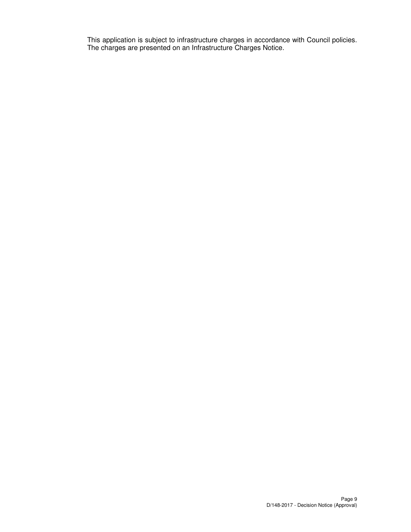This application is subject to infrastructure charges in accordance with Council policies. The charges are presented on an Infrastructure Charges Notice.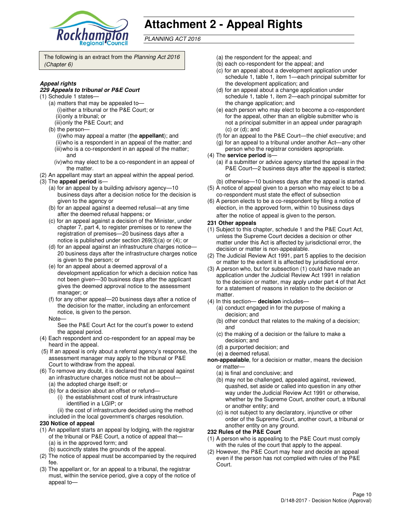

# **Attachment 2 - Appeal Rights**

PLANNING ACT 2016

The following is an extract from the Planning Act 2016 (Chapter 6)

#### **Appeal rights**

#### **229 Appeals to tribunal or P&E Court**

- (1) Schedule 1 states—
	- (a) matters that may be appealed to— (i) either a tribunal or the P&E Court; or (ii) only a tribunal; or
	- (iii) only the P&E Court; and
	- (b) the person—
		- (i) who may appeal a matter (the **appellant**); and (ii) who is a respondent in an appeal of the matter; and (iii) who is a co-respondent in an appeal of the matter;
		- and (iv) who may elect to be a co-respondent in an appeal of
	- the matter.
- (2) An appellant may start an appeal within the appeal period. (3) The **appeal period** is—
	- (a) for an appeal by a building advisory agency—10 business days after a decision notice for the decision is given to the agency or
	- (b) for an appeal against a deemed refusal—at any time after the deemed refusal happens; or
	- (c) for an appeal against a decision of the Minister, under chapter 7, part 4, to register premises or to renew the registration of premises—20 business days after a notice is published under section 269(3)(a) or (4); or
	- (d) for an appeal against an infrastructure charges notice— 20 business days after the infrastructure charges notice is given to the person; or
	- (e) for an appeal about a deemed approval of a development application for which a decision notice has not been given—30 business days after the applicant gives the deemed approval notice to the assessment manager; or
	- (f) for any other appeal—20 business days after a notice of the decision for the matter, including an enforcement notice, is given to the person.
	- Note—

See the P&E Court Act for the court's power to extend the appeal period.

- (4) Each respondent and co-respondent for an appeal may be heard in the appeal.
- (5) If an appeal is only about a referral agency's response, the assessment manager may apply to the tribunal or P&E Court to withdraw from the appeal.
- (6) To remove any doubt, it is declared that an appeal against an infrastructure charges notice must not be about—
	- (a) the adopted charge itself; or
	- (b) for a decision about an offset or refund—
		- (i) the establishment cost of trunk infrastructure identified in a LGIP; or
		- (ii) the cost of infrastructure decided using the method
	- included in the local government's charges resolution.

#### **230 Notice of appeal**

- (1) An appellant starts an appeal by lodging, with the registrar of the tribunal or P&E Court, a notice of appeal that— (a) is in the approved form; and
	- (b) succinctly states the grounds of the appeal.
- (2) The notice of appeal must be accompanied by the required fee.
- (3) The appellant or, for an appeal to a tribunal, the registrar must, within the service period, give a copy of the notice of appeal to—
- (a) the respondent for the appeal; and
- (b) each co-respondent for the appeal; and
- (c) for an appeal about a development application under schedule 1, table 1, item 1—each principal submitter for the development application; and
- (d) for an appeal about a change application under schedule 1, table 1, item 2—each principal submitter for the change application; and
- (e) each person who may elect to become a co-respondent for the appeal, other than an eligible submitter who is not a principal submitter in an appeal under paragraph (c) or (d); and
- (f) for an appeal to the P&E Court—the chief executive; and
- (g) for an appeal to a tribunal under another Act—any other
- person who the registrar considers appropriate.
- (4) The **service period** is—
	- (a) if a submitter or advice agency started the appeal in the P&E Court—2 business days after the appeal is started; or
- (b) otherwise—10 business days after the appeal is started. (5) A notice of appeal given to a person who may elect to be a
- co-respondent must state the effect of subsection (6) A person elects to be a co-respondent by filing a notice of
- election, in the approved form, within 10 business days after the notice of appeal is given to the person*.*
- **231 Other appeals**
- (1) Subject to this chapter, schedule 1 and the P&E Court Act, unless the Supreme Court decides a decision or other matter under this Act is affected by jurisdictional error, the decision or matter is non-appealable.
- (2) The Judicial Review Act 1991, part 5 applies to the decision or matter to the extent it is affected by jurisdictional error.
- (3) A person who, but for subsection (1) could have made an application under the Judicial Review Act 1991 in relation to the decision or matter, may apply under part 4 of that Act for a statement of reasons in relation to the decision or matter.
- (4) In this section— **decision** includes—
	- (a) conduct engaged in for the purpose of making a decision; and
	- (b) other conduct that relates to the making of a decision; and
	- (c) the making of a decision or the failure to make a decision; and
	- (d) a purported decision; and
	- (e) a deemed refusal.
- **non-appealable**, for a decision or matter, means the decision or matter—
	- (a) is final and conclusive; and
	- (b) may not be challenged, appealed against, reviewed, quashed, set aside or called into question in any other way under the Judicial Review Act 1991 or otherwise, whether by the Supreme Court, another court, a tribunal or another entity; and
	- (c) is not subject to any declaratory, injunctive or other order of the Supreme Court, another court, a tribunal or another entity on any ground.

#### **232 Rules of the P&E Court**

- (1) A person who is appealing to the P&E Court must comply with the rules of the court that apply to the appeal.
- (2) However, the P&E Court may hear and decide an appeal even if the person has not complied with rules of the P&E Court.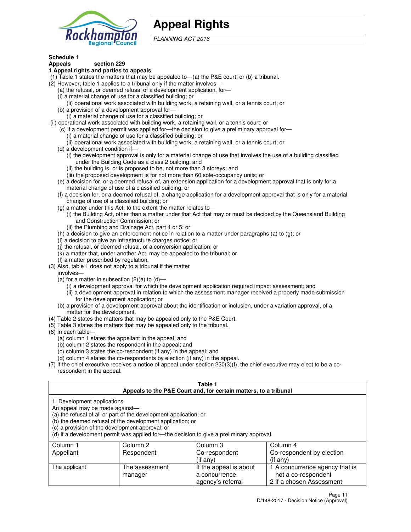

# **Appeal Rights**

PLANNING ACT 2016

#### **Schedule 1 Appeals section 229**

# **1 Appeal rights and parties to appeals**

- (1) Table 1 states the matters that may be appealed to—(a) the P&E court; or (b) a tribunal.
- (2) However, table 1 applies to a tribunal only if the matter involves—
	- (a) the refusal, or deemed refusal of a development application, for—
	- (i) a material change of use for a classified building; or
	- (ii) operational work associated with building work, a retaining wall, or a tennis court; or (b) a provision of a development approval for—
	- (i) a material change of use for a classified building; or
- (ii) operational work associated with building work, a retaining wall, or a tennis court; or
	- (c) if a development permit was applied for—the decision to give a preliminary approval for—
		- (i) a material change of use for a classified building; or
		- (ii) operational work associated with building work, a retaining wall, or a tennis court; or
	- (d) a development condition if—
		- (i) the development approval is only for a material change of use that involves the use of a building classified under the Building Code as a class 2 building; and
		- (ii) the building is, or is proposed to be, not more than 3 storeys; and
		- (iii) the proposed development is for not more than 60 sole-occupancy units; or
	- (e) a decision for, or a deemed refusal of, an extension application for a development approval that is only for a material change of use of a classified building; or
	- (f) a decision for, or a deemed refusal of, a change application for a development approval that is only for a material change of use of a classified building; or
	- (g) a matter under this Act, to the extent the matter relates to—
		- (i) the Building Act, other than a matter under that Act that may or must be decided by the Queensland Building and Construction Commission; or
		- (ii) the Plumbing and Drainage Act, part 4 or 5; or
	- (h) a decision to give an enforcement notice in relation to a matter under paragraphs (a) to (g); or
	- (i) a decision to give an infrastructure charges notice; or
	- (j) the refusal, or deemed refusal, of a conversion application; or
	- (k) a matter that, under another Act, may be appealed to the tribunal; or
	- (l) a matter prescribed by regulation.
- (3) Also, table 1 does not apply to a tribunal if the matter
- involves—
	- (a) for a matter in subsection  $(2)(a)$  to  $(d)$ 
		- (i) a development approval for which the development application required impact assessment; and
		- (ii) a development approval in relation to which the assessment manager received a properly made submission for the development application; or
	- (b) a provision of a development approval about the identification or inclusion, under a variation approval, of a matter for the development.
- (4) Table 2 states the matters that may be appealed only to the P&E Court.
- (5) Table 3 states the matters that may be appealed only to the tribunal.
- (6) In each table—
	- (a) column 1 states the appellant in the appeal; and
	- (b) column 2 states the respondent in the appeal; and
	- (c) column 3 states the co-respondent (if any) in the appeal; and
	- (d) column 4 states the co-respondents by election (if any) in the appeal.
- (7) If the chief executive receives a notice of appeal under section 230(3)(f), the chief executive may elect to be a corespondent in the appeal.

### **Table 1**

|                                                                                                                  |                                                                                                                                | Appeals to the P&E Court and, for certain matters, to a tribunal                         |                                                       |
|------------------------------------------------------------------------------------------------------------------|--------------------------------------------------------------------------------------------------------------------------------|------------------------------------------------------------------------------------------|-------------------------------------------------------|
| 1. Development applications<br>An appeal may be made against-<br>(c) a provision of the development approval; or | (a) the refusal of all or part of the development application; or<br>(b) the deemed refusal of the development application; or | (d) if a development permit was applied for—the decision to give a preliminary approval. |                                                       |
| Column 1                                                                                                         | Column 2                                                                                                                       | Column 3                                                                                 | Column 4                                              |
| Appellant                                                                                                        | Respondent                                                                                                                     | Co-respondent                                                                            | Co-respondent by election                             |
|                                                                                                                  |                                                                                                                                | (if any)                                                                                 | $(if$ any)                                            |
| The applicant                                                                                                    | The assessment<br>manager                                                                                                      | If the appeal is about<br>a concurrence                                                  | 1 A concurrence agency that is<br>not a co-respondent |

agency's referral

2 If a chosen Assessment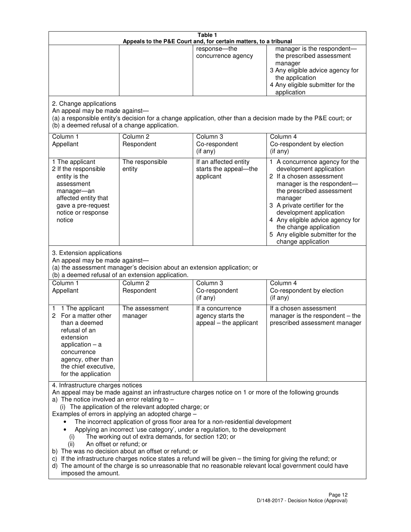| Table 1<br>Appeals to the P&E Court and, for certain matters, to a tribunal                                                                                                                          |                                                                                                                                                                                                                               |                                                                                                                                                                                                                                                                                 |                                                                                                                                                                                                                                                                                                                                                 |
|------------------------------------------------------------------------------------------------------------------------------------------------------------------------------------------------------|-------------------------------------------------------------------------------------------------------------------------------------------------------------------------------------------------------------------------------|---------------------------------------------------------------------------------------------------------------------------------------------------------------------------------------------------------------------------------------------------------------------------------|-------------------------------------------------------------------------------------------------------------------------------------------------------------------------------------------------------------------------------------------------------------------------------------------------------------------------------------------------|
|                                                                                                                                                                                                      |                                                                                                                                                                                                                               | response-the<br>concurrence agency                                                                                                                                                                                                                                              | manager is the respondent-<br>the prescribed assessment<br>manager<br>3 Any eligible advice agency for<br>the application<br>4 Any eligible submitter for the<br>application                                                                                                                                                                    |
| 2. Change applications<br>An appeal may be made against-<br>(b) a deemed refusal of a change application.                                                                                            |                                                                                                                                                                                                                               |                                                                                                                                                                                                                                                                                 | (a) a responsible entity's decision for a change application, other than a decision made by the P&E court; or                                                                                                                                                                                                                                   |
| Column 1<br>Appellant                                                                                                                                                                                | Column <sub>2</sub><br>Respondent                                                                                                                                                                                             | Column <sub>3</sub><br>Co-respondent<br>(if any)                                                                                                                                                                                                                                | Column 4<br>Co-respondent by election<br>(if any)                                                                                                                                                                                                                                                                                               |
| 1 The applicant<br>2 If the responsible<br>entity is the<br>assessment<br>manager-an<br>affected entity that<br>gave a pre-request<br>notice or response<br>notice                                   | The responsible<br>entity                                                                                                                                                                                                     | If an affected entity<br>starts the appeal-the<br>applicant                                                                                                                                                                                                                     | 1 A concurrence agency for the<br>development application<br>2 If a chosen assessment<br>manager is the respondent-<br>the prescribed assessment<br>manager<br>3 A private certifier for the<br>development application<br>4 Any eligible advice agency for<br>the change application<br>5 Any eligible submitter for the<br>change application |
| 3. Extension applications<br>An appeal may be made against-<br>Column 1<br>Appellant                                                                                                                 | (a) the assessment manager's decision about an extension application; or<br>(b) a deemed refusal of an extension application.<br>Column <sub>2</sub><br>Respondent                                                            | Column 3<br>Co-respondent                                                                                                                                                                                                                                                       | Column 4<br>Co-respondent by election                                                                                                                                                                                                                                                                                                           |
| 1 The applicant<br>1<br>2 For a matter other<br>than a deemed<br>refusal of an<br>extension<br>application $-$ a<br>concurrence<br>agency, other than<br>the chief executive,<br>for the application | The assessment<br>manager                                                                                                                                                                                                     | (if any)<br>If a concurrence<br>agency starts the<br>appeal - the applicant                                                                                                                                                                                                     | (if any)<br>If a chosen assessment<br>manager is the respondent - the<br>prescribed assessment manager                                                                                                                                                                                                                                          |
| 4. Infrastructure charges notices<br>a) The notice involved an error relating to $-$<br>(i)<br>An offset or refund; or<br>(ii)<br>imposed the amount.                                                | (i) The application of the relevant adopted charge; or<br>Examples of errors in applying an adopted charge -<br>The working out of extra demands, for section 120; or<br>b) The was no decision about an offset or refund; or | The incorrect application of gross floor area for a non-residential development<br>Applying an incorrect 'use category', under a regulation, to the development<br>c) If the infrastructure charges notice states a refund will be given - the timing for giving the refund; or | An appeal may be made against an infrastructure charges notice on 1 or more of the following grounds<br>d) The amount of the charge is so unreasonable that no reasonable relevant local government could have                                                                                                                                  |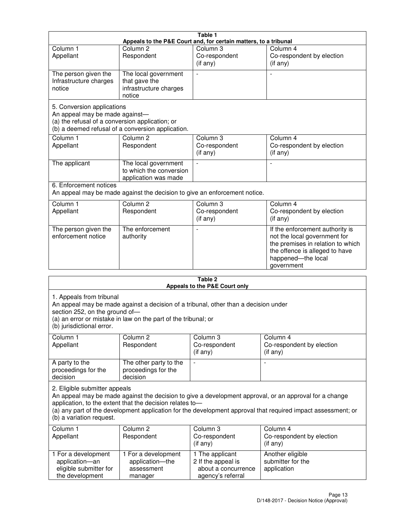| Table 1                                                                                                                                                              |                                                                           |                                                             |                                                                                                                                                                            |  |
|----------------------------------------------------------------------------------------------------------------------------------------------------------------------|---------------------------------------------------------------------------|-------------------------------------------------------------|----------------------------------------------------------------------------------------------------------------------------------------------------------------------------|--|
| Appeals to the P&E Court and, for certain matters, to a tribunal                                                                                                     |                                                                           |                                                             |                                                                                                                                                                            |  |
| Column <sub>1</sub><br>Appellant                                                                                                                                     | Column <sub>2</sub><br>Respondent                                         | Column 3<br>Co-respondent<br>(if any)                       | Column 4<br>Co-respondent by election<br>(i f any)                                                                                                                         |  |
| The person given the<br>Infrastructure charges<br>notice                                                                                                             | The local government<br>that gave the<br>infrastructure charges<br>notice | $\overline{a}$                                              |                                                                                                                                                                            |  |
| 5. Conversion applications<br>An appeal may be made against-<br>(a) the refusal of a conversion application; or<br>(b) a deemed refusal of a conversion application. |                                                                           |                                                             |                                                                                                                                                                            |  |
| Column <sub>1</sub><br>Appellant                                                                                                                                     | Column <sub>2</sub><br>Respondent                                         | Column <sub>3</sub><br>Co-respondent<br>$(i f \text{ any})$ | Column 4<br>Co-respondent by election<br>(if any)                                                                                                                          |  |
| The applicant                                                                                                                                                        | The local government<br>to which the conversion<br>application was made   | $\blacksquare$                                              |                                                                                                                                                                            |  |
| 6. Enforcement notices<br>An appeal may be made against the decision to give an enforcement notice.                                                                  |                                                                           |                                                             |                                                                                                                                                                            |  |
| Column <sub>1</sub><br>Appellant                                                                                                                                     | Column <sub>2</sub><br>Respondent                                         | Column 3<br>Co-respondent<br>(if any)                       | Column 4<br>Co-respondent by election<br>(if any)                                                                                                                          |  |
| The person given the<br>enforcement notice                                                                                                                           | The enforcement<br>authority                                              |                                                             | If the enforcement authority is<br>not the local government for<br>the premises in relation to which<br>the offence is alleged to have<br>happened-the local<br>government |  |
|                                                                                                                                                                      |                                                                           |                                                             |                                                                                                                                                                            |  |

| Table 2<br>Appeals to the P&E Court only                                                                                                                                                                                                                                                                                                        |                                                                 |                                                                                   |                                                                |
|-------------------------------------------------------------------------------------------------------------------------------------------------------------------------------------------------------------------------------------------------------------------------------------------------------------------------------------------------|-----------------------------------------------------------------|-----------------------------------------------------------------------------------|----------------------------------------------------------------|
| 1. Appeals from tribunal<br>An appeal may be made against a decision of a tribunal, other than a decision under<br>section 252, on the ground of-<br>(a) an error or mistake in law on the part of the tribunal; or<br>(b) jurisdictional error.                                                                                                |                                                                 |                                                                                   |                                                                |
| Column 1<br>Appellant                                                                                                                                                                                                                                                                                                                           | Column <sub>2</sub><br>Respondent                               | Column 3<br>Co-respondent<br>(if any)                                             | Column 4<br>Co-respondent by election<br>(if any)              |
| A party to the<br>proceedings for the<br>decision                                                                                                                                                                                                                                                                                               | The other party to the<br>proceedings for the<br>decision       | ÷,                                                                                |                                                                |
| 2. Eligible submitter appeals<br>An appeal may be made against the decision to give a development approval, or an approval for a change<br>application, to the extent that the decision relates to-<br>(a) any part of the development application for the development approval that required impact assessment; or<br>(b) a variation request. |                                                                 |                                                                                   |                                                                |
| Column <sub>1</sub><br>Appellant                                                                                                                                                                                                                                                                                                                | Column <sub>2</sub><br>Respondent                               | Column 3<br>Co-respondent<br>(if any)                                             | Column <sub>4</sub><br>Co-respondent by election<br>$(if$ any) |
| 1 For a development<br>application-an<br>eligible submitter for<br>the development                                                                                                                                                                                                                                                              | 1 For a development<br>application-the<br>assessment<br>manager | 1 The applicant<br>2 If the appeal is<br>about a concurrence<br>agency's referral | Another eligible<br>submitter for the<br>application           |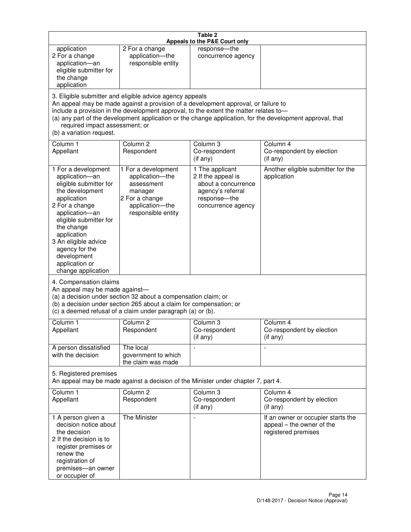| Table 2<br>Appeals to the P&E Court only                                                                                                                                                                                                                                                                                                                                                                           |                                                                                                                            |                                                                                                                         |                                                                                        |
|--------------------------------------------------------------------------------------------------------------------------------------------------------------------------------------------------------------------------------------------------------------------------------------------------------------------------------------------------------------------------------------------------------------------|----------------------------------------------------------------------------------------------------------------------------|-------------------------------------------------------------------------------------------------------------------------|----------------------------------------------------------------------------------------|
| application<br>2 For a change<br>application-an<br>eligible submitter for<br>the change<br>application                                                                                                                                                                                                                                                                                                             | 2 For a change<br>application-the<br>responsible entity                                                                    | response-the<br>concurrence agency                                                                                      |                                                                                        |
| 3. Eligible submitter and eligible advice agency appeals<br>An appeal may be made against a provision of a development approval, or failure to<br>include a provision in the development approval, to the extent the matter relates to-<br>(a) any part of the development application or the change application, for the development approval, that<br>required impact assessment; or<br>(b) a variation request. |                                                                                                                            |                                                                                                                         |                                                                                        |
| Column 1<br>Appellant                                                                                                                                                                                                                                                                                                                                                                                              | Column <sub>2</sub><br>Respondent                                                                                          | Column <sub>3</sub><br>Co-respondent<br>(if any)                                                                        | Column 4<br>Co-respondent by election<br>(i f any)                                     |
| 1 For a development<br>application-an<br>eligible submitter for<br>the development<br>application<br>2 For a change<br>application-an<br>eligible submitter for<br>the change<br>application<br>3 An eligible advice<br>agency for the<br>development<br>application or<br>change application                                                                                                                      | 1 For a development<br>application-the<br>assessment<br>manager<br>2 For a change<br>application-the<br>responsible entity | 1 The applicant<br>2 If the appeal is<br>about a concurrence<br>agency's referral<br>response-the<br>concurrence agency | Another eligible submitter for the<br>application                                      |
| 4. Compensation claims<br>An appeal may be made against-<br>(a) a decision under section 32 about a compensation claim; or<br>(b) a decision under section 265 about a claim for compensation; or<br>(c) a deemed refusal of a claim under paragraph (a) or (b).                                                                                                                                                   |                                                                                                                            |                                                                                                                         |                                                                                        |
| Column 1<br>Appellant                                                                                                                                                                                                                                                                                                                                                                                              | Column 2<br>Respondent                                                                                                     | Column 3<br>Co-respondent<br>(if any)                                                                                   | Column 4<br>Co-respondent by election<br>(if any)                                      |
| A person dissatisfied<br>with the decision                                                                                                                                                                                                                                                                                                                                                                         | The local<br>government to which<br>the claim was made                                                                     |                                                                                                                         | $\blacksquare$                                                                         |
| 5. Registered premises<br>An appeal may be made against a decision of the Minister under chapter 7, part 4.                                                                                                                                                                                                                                                                                                        |                                                                                                                            |                                                                                                                         |                                                                                        |
| Column 1<br>Appellant                                                                                                                                                                                                                                                                                                                                                                                              | Column <sub>2</sub><br>Respondent                                                                                          | Column 3<br>Co-respondent<br>(if any)                                                                                   | Column 4<br>Co-respondent by election<br>(if any)                                      |
| 1 A person given a<br>decision notice about<br>the decision<br>2 If the decision is to<br>register premises or<br>renew the<br>registration of<br>premises-an owner<br>or occupier of                                                                                                                                                                                                                              | The Minister                                                                                                               | $\overline{a}$                                                                                                          | If an owner or occupier starts the<br>appeal - the owner of the<br>registered premises |